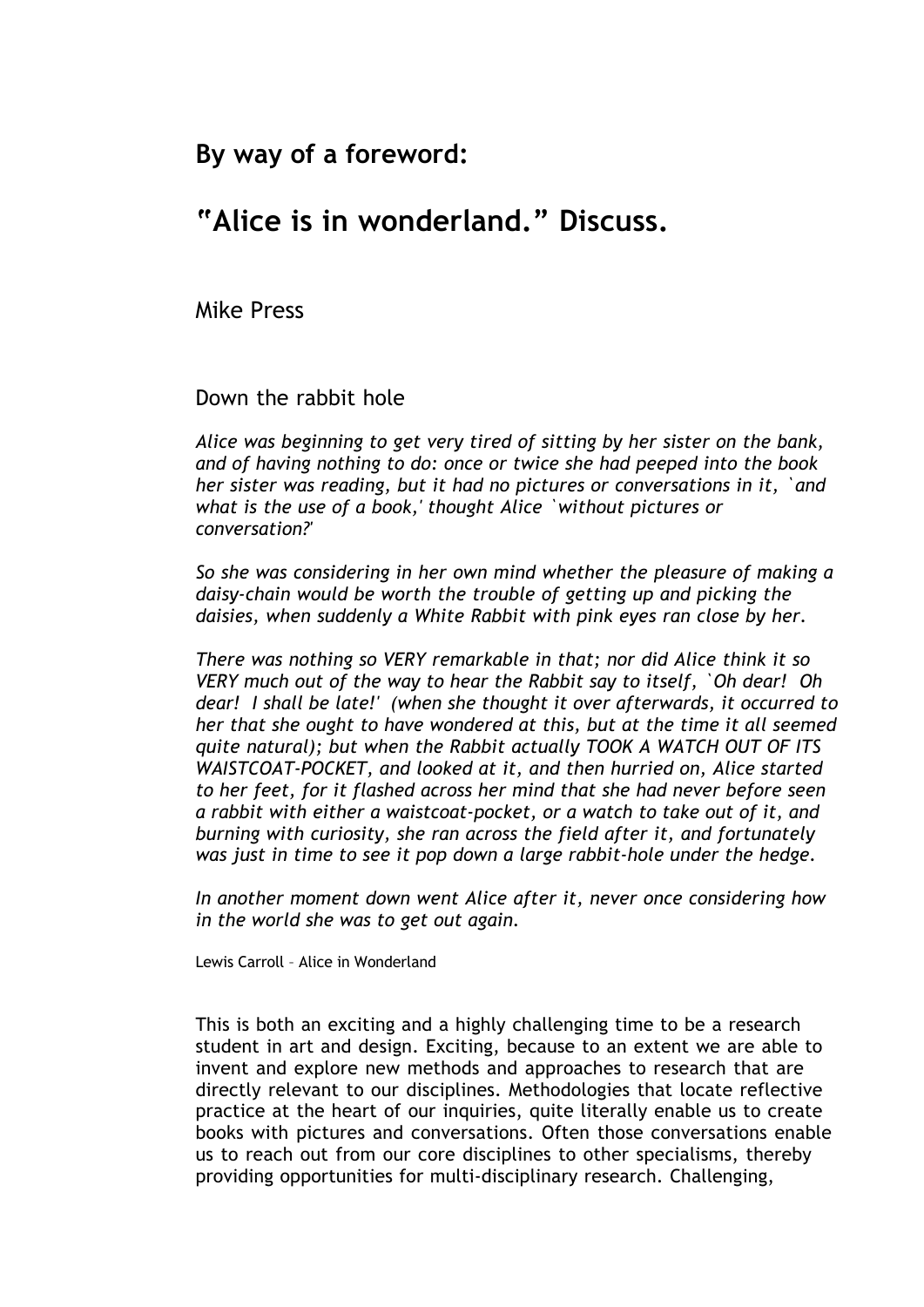**By way of a foreword:**

## **"Alice is in wonderland." Discuss.**

Mike Press

Down the rabbit hole

*Alice was beginning to get very tired of sitting by her sister on the bank, and of having nothing to do: once or twice she had peeped into the book her sister was reading, but it had no pictures or conversations in it, `and what is the use of a book,' thought Alice `without pictures or conversation?'*

*So she was considering in her own mind whether the pleasure of making a daisy-chain would be worth the trouble of getting up and picking the daisies, when suddenly a White Rabbit with pink eyes ran close by her.*

*There was nothing so VERY remarkable in that; nor did Alice think it so VERY much out of the way to hear the Rabbit say to itself, `Oh dear! Oh dear! I shall be late!' (when she thought it over afterwards, it occurred to her that she ought to have wondered at this, but at the time it all seemed quite natural); but when the Rabbit actually TOOK A WATCH OUT OF ITS WAISTCOAT-POCKET, and looked at it, and then hurried on, Alice started to her feet, for it flashed across her mind that she had never before seen a rabbit with either a waistcoat-pocket, or a watch to take out of it, and burning with curiosity, she ran across the field after it, and fortunately was just in time to see it pop down a large rabbit-hole under the hedge.*

*In another moment down went Alice after it, never once considering how in the world she was to get out again.*

Lewis Carroll – Alice in Wonderland

This is both an exciting and a highly challenging time to be a research student in art and design. Exciting, because to an extent we are able to invent and explore new methods and approaches to research that are directly relevant to our disciplines. Methodologies that locate reflective practice at the heart of our inquiries, quite literally enable us to create books with pictures and conversations. Often those conversations enable us to reach out from our core disciplines to other specialisms, thereby providing opportunities for multi-disciplinary research. Challenging,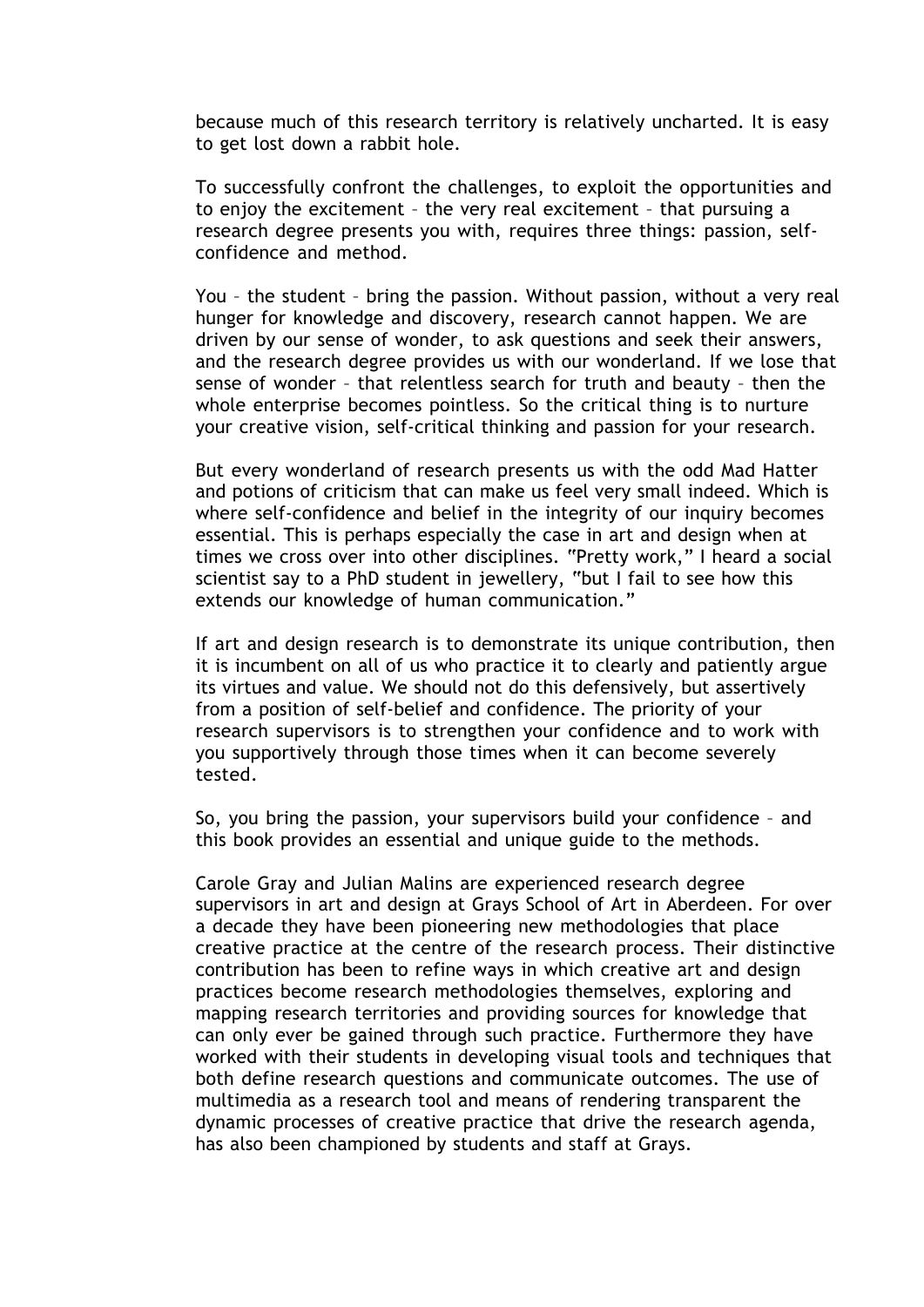because much of this research territory is relatively uncharted. It is easy to get lost down a rabbit hole.

To successfully confront the challenges, to exploit the opportunities and to enjoy the excitement – the very real excitement – that pursuing a research degree presents you with, requires three things: passion, selfconfidence and method.

You – the student – bring the passion. Without passion, without a very real hunger for knowledge and discovery, research cannot happen. We are driven by our sense of wonder, to ask questions and seek their answers, and the research degree provides us with our wonderland. If we lose that sense of wonder – that relentless search for truth and beauty – then the whole enterprise becomes pointless. So the critical thing is to nurture your creative vision, self-critical thinking and passion for your research.

But every wonderland of research presents us with the odd Mad Hatter and potions of criticism that can make us feel very small indeed. Which is where self-confidence and belief in the integrity of our inquiry becomes essential. This is perhaps especially the case in art and design when at times we cross over into other disciplines. "Pretty work," I heard a social scientist say to a PhD student in jewellery, "but I fail to see how this extends our knowledge of human communication."

If art and design research is to demonstrate its unique contribution, then it is incumbent on all of us who practice it to clearly and patiently argue its virtues and value. We should not do this defensively, but assertively from a position of self-belief and confidence. The priority of your research supervisors is to strengthen your confidence and to work with you supportively through those times when it can become severely tested.

So, you bring the passion, your supervisors build your confidence – and this book provides an essential and unique guide to the methods.

Carole Gray and Julian Malins are experienced research degree supervisors in art and design at Grays School of Art in Aberdeen. For over a decade they have been pioneering new methodologies that place creative practice at the centre of the research process. Their distinctive contribution has been to refine ways in which creative art and design practices become research methodologies themselves, exploring and mapping research territories and providing sources for knowledge that can only ever be gained through such practice. Furthermore they have worked with their students in developing visual tools and techniques that both define research questions and communicate outcomes. The use of multimedia as a research tool and means of rendering transparent the dynamic processes of creative practice that drive the research agenda, has also been championed by students and staff at Grays.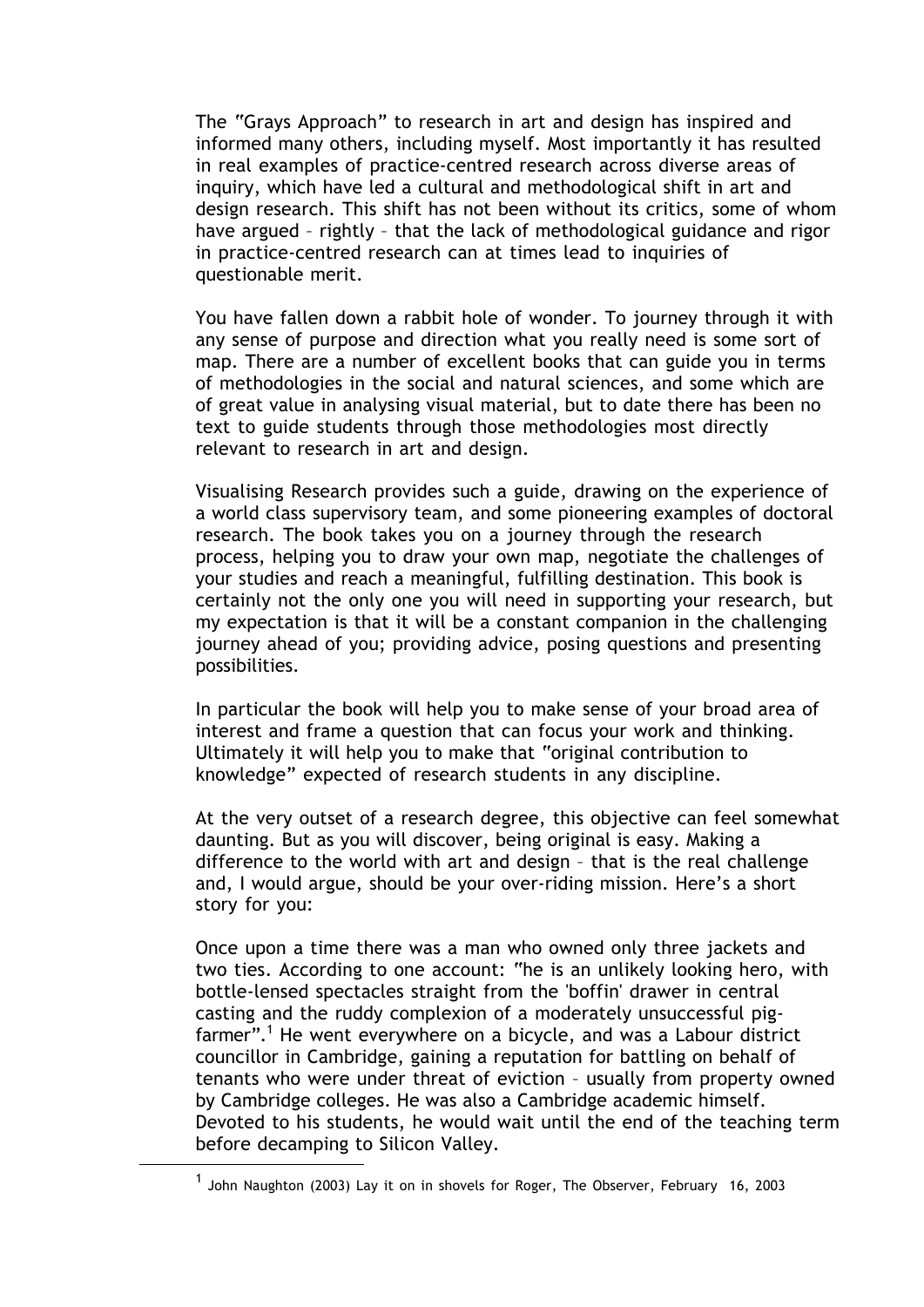The "Grays Approach" to research in art and design has inspired and informed many others, including myself. Most importantly it has resulted in real examples of practice-centred research across diverse areas of inquiry, which have led a cultural and methodological shift in art and design research. This shift has not been without its critics, some of whom have argued – rightly – that the lack of methodological guidance and rigor in practice-centred research can at times lead to inquiries of questionable merit.

You have fallen down a rabbit hole of wonder. To journey through it with any sense of purpose and direction what you really need is some sort of map. There are a number of excellent books that can guide you in terms of methodologies in the social and natural sciences, and some which are of great value in analysing visual material, but to date there has been no text to guide students through those methodologies most directly relevant to research in art and design.

Visualising Research provides such a guide, drawing on the experience of a world class supervisory team, and some pioneering examples of doctoral research. The book takes you on a journey through the research process, helping you to draw your own map, negotiate the challenges of your studies and reach a meaningful, fulfilling destination. This book is certainly not the only one you will need in supporting your research, but my expectation is that it will be a constant companion in the challenging journey ahead of you; providing advice, posing questions and presenting possibilities.

In particular the book will help you to make sense of your broad area of interest and frame a question that can focus your work and thinking. Ultimately it will help you to make that "original contribution to knowledge" expected of research students in any discipline.

At the very outset of a research degree, this objective can feel somewhat daunting. But as you will discover, being original is easy. Making a difference to the world with art and design – that is the real challenge and, I would argue, should be your over-riding mission. Here's a short story for you:

Once upon a time there was a man who owned only three jackets and two ties. According to one account: "he is an unlikely looking hero, with bottle-lensed spectacles straight from the 'boffin' drawer in central casting and the ruddy complexion of a moderately unsuccessful pigfarmer".<sup>1</sup> He went everywhere on a bicycle, and was a Labour district councillor in Cambridge, gaining a reputation for battling on behalf of tenants who were under threat of eviction – usually from property owned by Cambridge colleges. He was also a Cambridge academic himself. Devoted to his students, he would wait until the end of the teaching term before decamping to Silicon Valley.

 $\overline{a}$ 

 $<sup>1</sup>$  John Naughton (2003) Lay it on in shovels for Roger, The Observer, February 16, 2003</sup>